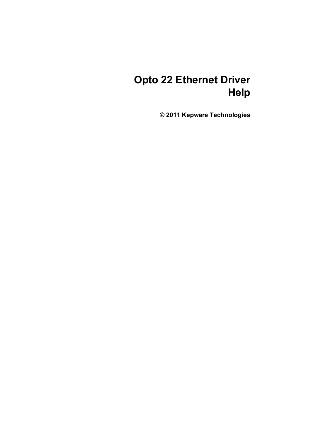# **Opto 22 Ethernet Driver Help**

**© 2011 Kepware Technologies**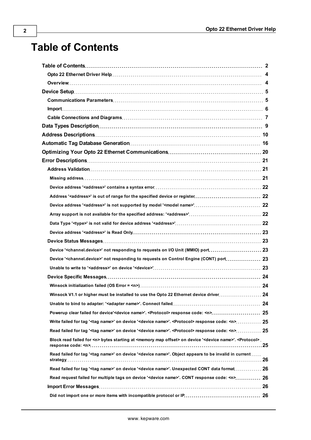# <span id="page-1-0"></span>**Table of Contents**

| Address Descriptions…………………………………………………………………………… 10                                                                                             |  |
|--------------------------------------------------------------------------------------------------------------------------------------------------|--|
|                                                                                                                                                  |  |
| Optimizing Your Opto 22 Ethernet Communications……………………………………………………… 20                                                                          |  |
|                                                                                                                                                  |  |
|                                                                                                                                                  |  |
|                                                                                                                                                  |  |
|                                                                                                                                                  |  |
|                                                                                                                                                  |  |
|                                                                                                                                                  |  |
|                                                                                                                                                  |  |
|                                                                                                                                                  |  |
|                                                                                                                                                  |  |
|                                                                                                                                                  |  |
| Device ' <channel.device>' not responding to requests on I/O Unit (MMIO) port 23</channel.device>                                                |  |
| Device ' <channel.device>' not responding to requests on Control Engine (CONT) port 23</channel.device>                                          |  |
|                                                                                                                                                  |  |
|                                                                                                                                                  |  |
|                                                                                                                                                  |  |
| Winsock V1.1 or higher must be installed to use the Opto 22 Ethernet device driver 24                                                            |  |
|                                                                                                                                                  |  |
|                                                                                                                                                  |  |
|                                                                                                                                                  |  |
|                                                                                                                                                  |  |
| Block read failed for <n> bytes starting at <memory map="" offset=""> on device '<device name="">'. <protocol>.</protocol></device></memory></n> |  |
| Read failed for tag ' <tag name="">' on device '<device name="">'. Object appears to be invalid in current </device></tag>                       |  |
| Read failed for tag ' <tag name="">' on device '<device name="">'. Unexpected CONT data format 26</device></tag>                                 |  |
| Read request failed for multiple tags on device ' <device name="">'. CONT response code: <n> 26</n></device>                                     |  |
|                                                                                                                                                  |  |
|                                                                                                                                                  |  |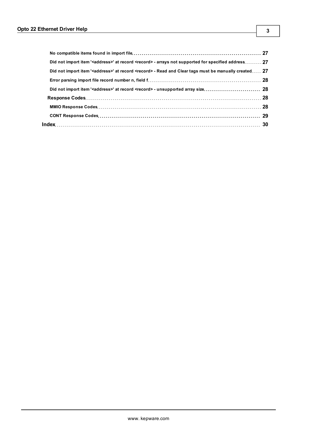| Did not import item ' <address>' at record <record> - arrays not supported for specified address 27</record></address>   |  |
|--------------------------------------------------------------------------------------------------------------------------|--|
| Did not import item ' <address>' at record <record> - Read and Clear tags must be manually created 27</record></address> |  |
|                                                                                                                          |  |
|                                                                                                                          |  |
|                                                                                                                          |  |
|                                                                                                                          |  |
|                                                                                                                          |  |
|                                                                                                                          |  |
|                                                                                                                          |  |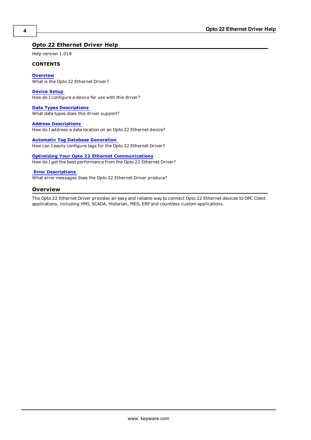# <span id="page-3-0"></span>**Opto 22 Ethernet Driver Help**

Help version 1.018

#### **CONTENTS**

**[Overview](#page-3-1)** What is the Opto 22 Ethernet Driver?

**[Device](#page-4-0) [Setup](#page-4-0)** How do I configure a device for use with this driver?

**[Data](#page-8-0) [Types](#page-8-0) [Descriptions](#page-8-0)** What data types does this driver support?

**[Address](#page-9-0) [Descriptions](#page-9-0)** How do I address a data location on an Opto 22 Ethernet device?

**[Automatic](#page-15-0) [Tag](#page-15-0) [Database](#page-15-0) [Generation](#page-15-0)** How can I easily configure tags for the Opto 22 Ethernet Driver?

**[Optimizing](#page-19-0) [Your](#page-19-0) [Opto](#page-19-0) [22](#page-19-0) [Ethernet](#page-19-0) [Communications](#page-19-0)** How do I get the best performance from the Opto 22 Ethernet Driver?

#### **[Error](#page-20-0) [Descriptions](#page-20-0)**

<span id="page-3-1"></span>What error messages does the Opto 22 Ethernet Driver produce?

#### **Overview**

The Opto 22 Ethernet Driver provides an easy and reliable way to connect Opto 22 Ethernet devices to OPC Client applications, including HMI, SCADA, Historian, MES, ERP and countless custom applications.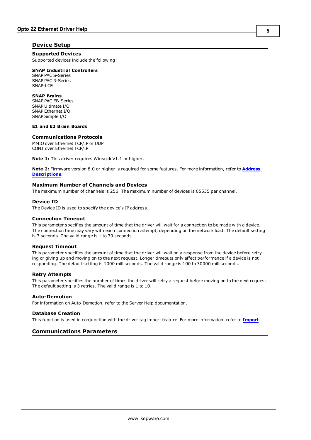# <span id="page-4-0"></span>**Device Setup**

**Supported Devices** Supported devices include the following:

#### **SNAP Industrial Controllers**

SNAP PAC S-Series SNAP PAC R-Series SNAP-LCE

#### **SNAP Brains**

SNAP PAC EB-Series SNAP Ultimate I/O SNAP Ethernet I/O SNAP Simple I/O

## **E1 and E2 Brain Boards**

#### **Communications Protocols**

MMIO over Ethernet TCP/IP or UDP CONT over Ethernet TCP/IP

**Note 1:** This driver requires Winsock V1.1 or higher.

**Note 2:** Firmware version 8.0 or higher is required for some features. For more information, refer to **[Address](#page-9-0) [Descriptions](#page-9-0)**.

## **Maximum Number of Channels and Devices**

The maximum number of channels is 256. The maximum number of devices is 65535 per channel.

#### **Device ID**

The Device ID is used to specify the device's IP address.

#### **Connection Timeout**

This parameter specifies the amount of time that the driver will wait for a connection to be made with a device. The connection time may vary with each connection attempt, depending on the network load. The default setting is 3 seconds. The valid range is 1 to 30 seconds.

#### **Request Timeout**

This parameter specifies the amount of time that the driver will wait on a response from the device before retrying or giving up and moving on to the next request. Longer timeouts only affect performance if a device is not responding. The default setting is 1000 milliseconds. The valid range is 100 to 30000 milliseconds.

#### **Retry Attempts**

This parameter specifies the number of times the driver will retry a request before moving on to the next request. The default setting is 3 retries. The valid range is 1 to 10.

## **Auto-Demotion**

For information on Auto-Demotion, refer to the Server Help documentation.

#### **Database Creation**

<span id="page-4-1"></span>This function is used in conjunction with the driver tag import feature. For more information, refer to **[Import](#page-5-0)**.

#### **Communications Parameters**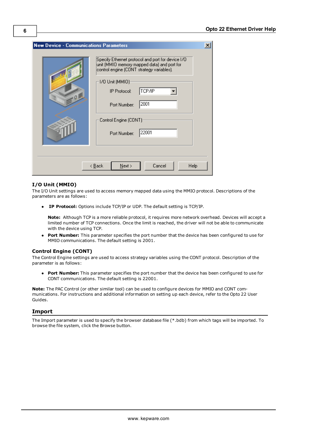| <b>New Device - Communications Parameters</b> |                                                                                                                                                                                                                                                                               | $\boldsymbol{\mathsf{x}}$ |
|-----------------------------------------------|-------------------------------------------------------------------------------------------------------------------------------------------------------------------------------------------------------------------------------------------------------------------------------|---------------------------|
| .01                                           | Specify Ethernet protocol and port for device I/O<br>unit (MMIO memory mapped data) and port for<br>control engine (CONT strategy variables).<br>-1/0 Unit (MMIO):<br>TCP/IP<br><b>IP Protocol:</b><br>2001<br>Port Number:<br>Control Engine (CONT)<br>22001<br>Port Number: |                           |
|                                               | Cancel<br>$N$ ext ><br><b>Help</b><br>$\leq$ $\underline{B}$ ack                                                                                                                                                                                                              |                           |

#### **I/O Unit (MMIO)**

The I/O Unit settings are used to access memory mapped data using the MMIO protocol. Descriptions of the parameters are as follows:

**IP Protocol:** Options include TCP/IP or UDP. The default setting is TCP/IP.

**Note:** Although TCP is a more reliable protocol, it requires more network overhead. Devices will accept a limited number of TCP connections. Once the limit is reached, the driver will not be able to communicate with the device using TCP.

**Port Number:** This parameter specifies the port number that the device has been configured to use for MMIO communications. The default setting is 2001.

#### **Control Engine (CONT)**

The Control Engine settings are used to access strategy variables using the CONT protocol. Description of the parameter is as follows:

**Port Number:** This parameter specifies the port number that the device has been configured to use for CONT communications. The default setting is 22001.

**Note:** The PAC Control (or other similar tool) can be used to configure devices for MMIO and CONT communications. For instructions and additional information on setting up each device, refer to the Opto 22 User Guides.

#### <span id="page-5-0"></span>**Import**

The Import parameter is used to specify the browser database file (\*.bdb) from which tags will be imported. To browse the file system, click the Browse button.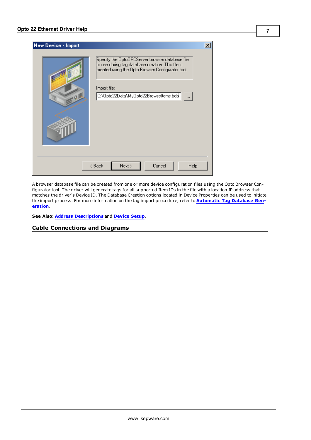| <b>New Device - Import</b> |                                                                                                                                                                                                                    |  |
|----------------------------|--------------------------------------------------------------------------------------------------------------------------------------------------------------------------------------------------------------------|--|
| 9                          | Specify the OptoOPCServer browser database file<br>to use during tag database creation. This file is<br>created using the Opto Browser Configurator tool.<br>Import file:<br>C:\Opto22Data\MyOpto22Browseltems.bdb |  |
|                            | Cancel<br>Help<br>$\leq$ $\underline{B}$ ack<br>$N$ ext >                                                                                                                                                          |  |

A browser database file can be created from one or more device configuration files using the Opto Browser Configurator tool. The driver will generate tags for all supported Item IDs in the file with a location IP address that matches the driver's Device ID. The Database Creation options located in Device Properties can be used to initiate the import process. For more information on the tag import procedure, refer to **[Automatic](#page-15-0) [Tag](#page-15-0) [Database](#page-15-0) [Gen](#page-15-0)[eration](#page-15-0)**.

**7**

<span id="page-6-0"></span>**See Also: [Address](#page-9-0) [Descriptions](#page-9-0)** and **[Device](#page-4-0) [Setup](#page-4-0)**.

**Cable Connections and Diagrams**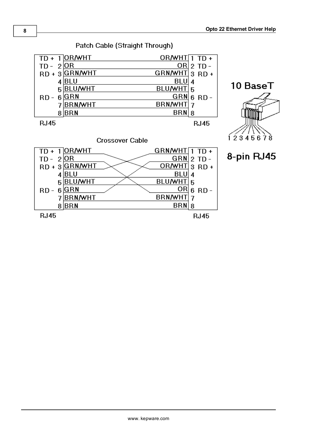

**RJ45** 

 $8$  $BRN$ 

**RJ45** 

 $BRN|8$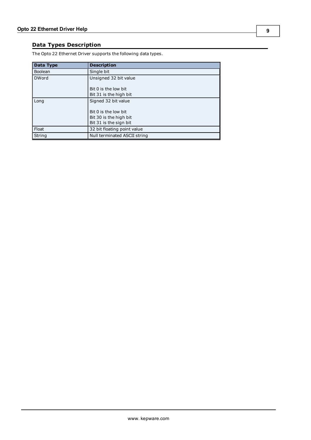# <span id="page-8-0"></span>**Data Types Description**

The Opto 22 Ethernet Driver supports the following data types.

| Data Type | <b>Description</b>           |
|-----------|------------------------------|
| Boolean   | Single bit                   |
| DWord     | Unsigned 32 bit value        |
|           | Bit 0 is the low bit         |
|           | Bit 31 is the high bit       |
| Long      | Signed 32 bit value          |
|           | Bit 0 is the low bit         |
|           | Bit 30 is the high bit       |
|           | Bit 31 is the sign bit       |
| Float     | 32 bit floating point value  |
| String    | Null terminated ASCII string |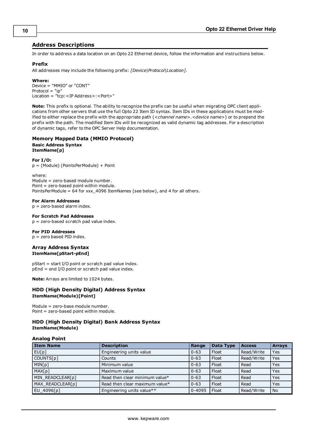## <span id="page-9-0"></span>**Address Descriptions**

In order to address a data location on an Opto 22 Ethernet device, follow the information and instructions below.

#### **Prefix**

All addresses may include the following prefix: *[Device|Protocol|Location]*.

#### **Where:**

Device = "MMIO" or "CONT" Protocol = "ip" Location = "tcp:<IP Address>:<Port>"

**Note:** This prefix is optional. The ability to recognize the prefix can be useful when migrating OPC client applications from other servers that use the full Opto 22 Item ID syntax. Item IDs in these applications must be modified to either replace the prefix with the appropriate path (*<channel name>.<device name>*) or to prepend the prefix with the path. The modified Item IDs will be recognized as valid dynamic tag addresses. For a description of dynamic tags, refer to the OPC Server Help documentation.

#### **Memory Mapped Data (MMIO Protocol) Basic Address Syntax ItemName[p]**

#### **For I/O:**

p = (Module) (PointsPerModule) + Point

where: Module = zero-based module number. Point = zero-based point within module. PointsPerModule = 64 for xxx\_4096 ItemNames (see below), and 4 for all others.

#### **For Alarm Addresses**

p = zero-based alarm index.

#### **For Scratch Pad Addresses**

p = zero-based scratch pad value index.

#### **For PID Addresses**

p = zero based PID index.

#### **Array Address Syntax ItemName[pStart-pEnd]**

pStart = start I/O point or scratch pad value index. pEnd = end I/O point or scratch pad value index.

**Note:** Arrays are limited to 1024 bytes.

#### **HDD (High Density Digital) Address Syntax ItemName(Module)[Point]**

Module = zero-base module number. Point = zero-based point within module.

#### **HDD (High Density Digital) Bank Address Syntax ItemName(Module)**

#### **Analog Point**

| <b>Item Name</b> | <b>Description</b>             | Range      | Data Type | <b>Access</b> | <b>Arrays</b> |
|------------------|--------------------------------|------------|-----------|---------------|---------------|
| EU[p]            | Engineering units value        | $ 0 - 63 $ | Float     | Read/Write    | Yes           |
| COUNTS[p]        | Counts                         | $0 - 63$   | Float     | Read/Write    | Yes           |
| MIN[p]           | Minimum value                  | $0 - 63$   | Float     | Read          | Yes           |
| MAX[p]           | Maximum value                  | $0 - 63$   | Float     | Read          | Yes           |
| MIN READCLEAR[p] | Read then clear minimum value* | $0 - 63$   | Float     | Read          | Yes           |
| MAX READCLEAR[p] | Read then clear maximum value* | $0 - 63$   | Float     | Read          | Yes           |
| EU 4096[p]       | Engineering units value**      | $0 - 4095$ | Float     | Read/Write    | <b>No</b>     |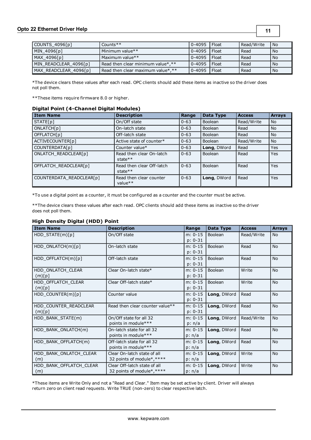## **Opto 22 Ethernet Driver Help**

**11**

| $\vert$ COUNTS 4096 $\vert$ p] | Counts**                          | $0 - 4095$ | l Float        | Read/Write | l No |
|--------------------------------|-----------------------------------|------------|----------------|------------|------|
| MIN 4096[p]                    | Minimum value**                   | $0 - 4095$ | l Float        | Read       | No.  |
| MAX 4096[p]                    | Maximum value**                   | $0 - 4095$ | l Float        | Read       | No.  |
| MIN READCLEAR 4096[p]          | Read then clear minimum value*,** | $0 - 4095$ | <b>I</b> Float | Read       | No.  |
| MAX READCLEAR 4096[p]          | Read then clear maximum value*,** | $0 - 4095$ | Float          | Read       | No.  |

\*The device clears these values after each read. OPC clients should add these items as inactive so the driver does not poll them.

\*\*These items require firmware 8.0 or higher.

#### **Digital Point (4-Channel Digital Modules)**

| <b>Item Name</b>         | <b>Description</b>                      | Range      | Data Type      | <b>Access</b> | <b>Arrays</b> |
|--------------------------|-----------------------------------------|------------|----------------|---------------|---------------|
| STATE[p]                 | On/Off state                            | $0 - 63$   | <b>Boolean</b> | Read/Write    | <b>No</b>     |
| ONLATCH[p]               | On-latch state                          | $0 - 63$   | Boolean        | Read          | <b>No</b>     |
| OFFLATCH[p]              | Off-latch state                         | $0 - 63$   | <b>Boolean</b> | Read          | <b>No</b>     |
| ACTIVECOUNTER[p]         | Active state of counter*                | $ 0 - 63 $ | <b>Boolean</b> | Read/Write    | <b>No</b>     |
| COUNTERDATA[p]           | Counter value*                          | $0 - 63$   | Long, DWord    | Read          | Yes           |
| ONLATCH READCLEAR[p]     | Read then clear On-latch<br>state $**$  | $0 - 63$   | <b>Boolean</b> | Read          | Yes           |
| OFFLATCH READCLEAR[p]    | Read then clear Off-latch<br>state $**$ | $ 0 - 63 $ | Boolean        | Read          | Yes           |
| COUNTERDATA READCLEAR[p] | Read then clear counter<br>value $**$   | $0 - 63$   | Long, DWord    | Read          | Yes           |

\*To use a digital point as a counter, it must be configured as a counter and the counter must be active.

\*\*The device clears these values after each read. OPC clients should add these items as inactive so the driver does not poll them.

#### **High Density Digital (HDD) Point**

| <b>Item Name</b>                | <b>Description</b>                                         | Range                  | <b>Data Type</b> | <b>Access</b> | <b>Arrays</b> |
|---------------------------------|------------------------------------------------------------|------------------------|------------------|---------------|---------------|
| HDD_STATE(m)[p]                 | On/Off state                                               | $m: 0-15$<br>$p: 0-31$ | Boolean          | Read/Write    | <b>No</b>     |
| HDD_ONLATCH(m)[p]               | On-latch state                                             | $m: 0-15$<br>$p: 0-31$ | Boolean          | Read          | <b>No</b>     |
| $HDD$ OFFLATCH $(m)[p]$         | Off-latch state                                            | $m: 0-15$<br>$p: 0-31$ | Boolean          | Read          | <b>No</b>     |
| HDD ONLATCH CLEAR<br>(m)[p]     | Clear On-latch state*                                      | $m: 0-15$<br>$p: 0-31$ | Boolean          | Write         | <b>No</b>     |
| HDD OFFLATCH CLEAR<br>(m)[p]    | Clear Off-latch state*                                     | $m: 0-15$<br>$p: 0-31$ | Boolean          | Write         | <b>No</b>     |
| HDD COUNTER(m)[p]               | Counter value                                              | $m: 0-15$<br>$p: 0-31$ | Long, DWord      | Read          | <b>No</b>     |
| HDD COUNTER READCLEAR<br>(m)[p] | Read then clear counter value**                            | $m: 0-15$<br>$p: 0-31$ | Long, DWord      | Read          | <b>No</b>     |
| HDD BANK STATE(m)               | On/Off state for all 32<br>points in module***             | $m: 0-15$<br>p: n/a    | Long, DWord      | Read/Write    | <b>No</b>     |
| HDD BANK ONLATCH(m)             | On-latch state for all 32<br>points in module***           | $m: 0-15$<br>p: n/a    | Long, DWord      | Read          | No            |
| HDD BANK OFFLATCH(m)            | Off-latch state for all 32<br>points in module***          | $m: 0-15$<br>p: n/a    | Long, DWord      | Read          | <b>No</b>     |
| HDD BANK ONLATCH CLEAR<br>(m)   | Clear On-latch state of all<br>32 points of module*, ****  | $m: 0-15$<br>p: n/a    | Long, DWord      | Write         | <b>No</b>     |
| HDD BANK OFFLATCH CLEAR<br>(m)  | Clear Off-latch state of all<br>32 points of module*, **** | $m: 0-15$<br>p: n/a    | Long, DWord      | Write         | <b>No</b>     |

\*These items are Write Only and not a "Read and Clear." Item may be set active by client. Driver will always return zero on client read requests. Write TRUE (non-zero) to clear respective latch.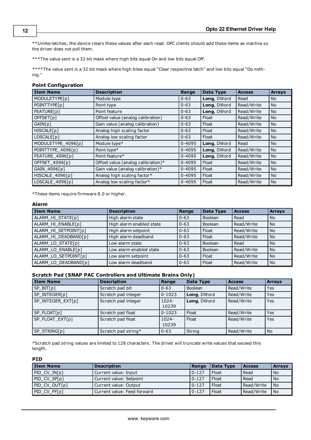\*\*Unlike latches, the device clears these values after each read. OPC clients should add these items as inactive so the driver does not poll them.

\*\*\*The value sent is a 32 bit mask where high bits equal On and low bits equal Off.

\*\*\*\*The value sent is a 32 bit mask where high bites equal "Clear respective latch" and low bits equal "Do nothing."

#### **Point Configuration**

| <b>Item Name</b>   | <b>Description</b>                 | Range      | Data Type   | <b>Access</b> | <b>Arrays</b> |
|--------------------|------------------------------------|------------|-------------|---------------|---------------|
| MODULETYPE[p]      | Module type                        | $0 - 63$   | Long, DWord | Read          | No            |
| POINTTYPE[p]       | Point type                         | $0 - 63$   | Long, DWord | Read/Write    | No.           |
| FEATURE[p]         | Point feature                      | $0 - 63$   | Long, DWord | Read/Write    | <b>No</b>     |
| OFFSET[p]          | Offset value (analog calibration)  | $0 - 63$   | Float       | Read/Write    | No.           |
| GAIN[p]            | Gain value (analog calibration)    | $0 - 63$   | Float       | Read/Write    | No            |
| HISCALE[p]         | Analog high scaling factor         | $0 - 63$   | Float       | Read/Write    | No            |
| LOSCALE[p]         | Analog low scaling factor          | $0 - 63$   | Float       | Read/Write    | No            |
| MODULETYPE_4096[p] | Module type*                       | $0 - 4095$ | Long, DWord | Read          | No            |
| POINTTYPE 4096[p]  | Point type*                        | $0 - 4095$ | Long, DWord | Read/Write    | No            |
| FEATURE 4096[p]    | Point feature*                     | $0 - 4095$ | Long, DWord | Read/Write    | <b>No</b>     |
| OFFSET_4096[p]     | Offset value (analog calibration)* | $0 - 4095$ | Float       | Read/Write    | No            |
| GAIN_4096[p]       | Gain value (analog calibration)*   | $0 - 4095$ | Float       | Read/Write    | <b>No</b>     |
| HISCALE_4096[p]    | Analog high scaling factor*        | $0 - 4095$ | Float       | Read/Write    | No            |
| LOSCALE 4096[p]    | Analog low scaling factor*         | $0 - 4095$ | Float       | Read/Write    | No            |

\*These items require firmware 8.0 or higher.

#### **Alarm**

| <b>Item Name</b>     | <b>Description</b>       | Range    | Data Type | <b>Access</b> | <b>Arrays</b>  |
|----------------------|--------------------------|----------|-----------|---------------|----------------|
| ALARM HI STATE[p]    | High alarm state         | $0 - 63$ | Boolean   | Read          | <b>No</b>      |
| ALARM HI ENABLE[p]   | High alarm enabled state | $0 - 63$ | Boolean   | Read/Write    | <b>No</b>      |
| ALARM_HI_SETPOINT[p] | High alarm setpoint      | $0 - 63$ | Float     | Read/Write    | N <sub>o</sub> |
| ALARM HI DEADBAND[p] | High alarm deadband      | $0 - 63$ | Float     | Read/Write    | <b>No</b>      |
| ALARM LO STATE[p]    | Low alarm state          | $0 - 63$ | Boolean   | Read          | No.            |
| ALARM LO ENABLE[p]   | Low alarm enabled state  | $0 - 63$ | Boolean   | Read/Write    | <b>No</b>      |
| ALARM LO SETPOINT[p] | Low alarm setpoint       | $0 - 63$ | Float     | Read/Write    | <b>No</b>      |
| ALARM_LO_DEADBAND[p] | Low alarm deadband       | $0 - 63$ | Float     | Read/Write    | <b>No</b>      |

## **Scratch Pad (SNAP PAC Controllers and Ultimate Brains Only)**

| <b>Item Name</b>  | <b>Description</b>  | Range             | Data Type      | <b>Access</b> | <b>Arrays</b> |
|-------------------|---------------------|-------------------|----------------|---------------|---------------|
| SP BIT[p]         | Scratch pad bit     | $0 - 63$          | <b>Boolean</b> | Read/Write    | <b>Yes</b>    |
| SP INTEGER[p]     | Scratch pad integer | $0 - 1023$        | Long, DWord    | Read/Write    | Yes           |
| SP INTEGER EXT[p] | Scratch pad integer | $1024 -$<br>10239 | Long, DWord    | Read/Write    | Yes           |
| SP FLOAT[p]       | Scratch pad float   | $0 - 1023$        | Float          | Read/Write    | Yes           |
| SP_FLOAT_EXT[p]   | Scratch pad float   | $1024 -$<br>10239 | Float          | Read/Write    | Yes           |
| SP STRING[p]      | Scratch pad string* | $0 - 63$          | String         | Read/Write    | <b>No</b>     |

\*Scratch pad string values are limited to 128 characters. The driver will truncate write values that exceed this length.

## **PID**

| <b>Item Name</b> | <b>Description</b>          | Range     | Data Type | l Access   | <b>Arrays</b> |
|------------------|-----------------------------|-----------|-----------|------------|---------------|
| PID CV IN[p]     | Current value: Input        | $0 - 127$ | Float     | Read       | l No          |
| PID CV SP[p]     | Current value: Setpoint     | $0 - 127$ | Float     | Read       | l No          |
| PID CV OUT[p]    | Current value: Output       | $0 - 127$ | Float     | Read/Write | l No          |
| PID CV FF[p]     | Current value: Feed forward | $0 - 127$ | Float     | Read/Write | l No          |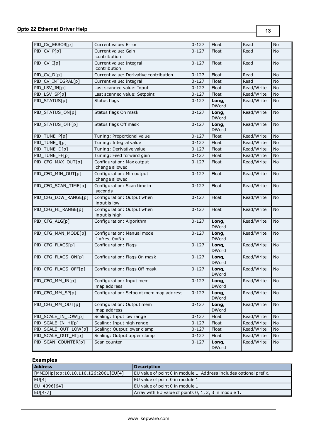| PID_CV_ERROR[p]      | Current value: Error                                   | $0 - 127$ | Float                 | Read       | No        |
|----------------------|--------------------------------------------------------|-----------|-----------------------|------------|-----------|
| PID_CV_P[p]          | Current value: Gain                                    | $0 - 127$ | Float                 | Read       | No        |
|                      | contribution                                           |           |                       |            |           |
| PID_CV_I[p]          | Current value: Integral                                | $0 - 127$ | Float                 | Read       | <b>No</b> |
| PID_CV_D[p]          | contribution<br>Current value: Derivative contribution | $0 - 127$ | Float                 | Read       | <b>No</b> |
| PID_CV_INTEGRAL[p]   |                                                        | $0 - 127$ | Float                 | Read       | No        |
| PID_LSV_IN[p]        | Current value: Integral<br>Last scanned value: Input   | $0 - 127$ | Float                 |            | <b>No</b> |
|                      |                                                        |           |                       | Read/Write |           |
| PID_LSV_SP[p]        | Last scanned value: Setpoint                           | $0 - 127$ | Float                 | Read/Write | <b>No</b> |
| PID_STATUS[p]        | Status flags                                           | $0 - 127$ | Long,<br><b>DWord</b> | Read/Write | No        |
| PID_STATUS_ON[p]     | Status flags On mask                                   | $0 - 127$ | Long,<br><b>DWord</b> | Read/Write | <b>No</b> |
| PID_STATUS_OFF[p]    | Status flags Off mask                                  | $0 - 127$ | Long,<br><b>DWord</b> | Read/Write | <b>No</b> |
| PID_TUNE_P[p]        | Tuning: Proportional value                             | $0 - 127$ | Float                 | Read/Write | No        |
| PID_TUNE_I[p]        | Tuning: Integral value                                 | $0 - 127$ | Float                 | Read/Write | No        |
| PID_TUNE_D[p]        | Tuning: Derivative value                               | $0 - 127$ | Float                 | Read/Write | No        |
| PID_TUNE_FF[p]       | Tuning: Feed forward gain                              | $0 - 127$ | Float                 | Read/Write | No        |
| PID_CFG_MAX_OUT[p]   | Configuration: Max output<br>change allowed            | $0 - 127$ | Float                 | Read/Write | <b>No</b> |
| PID_CFG_MIN_OUT[p]   | Configuration: Min output<br>change allowed            | $0 - 127$ | Float                 | Read/Write | <b>No</b> |
| PID_CFG_SCAN_TIME[p] | Configuration: Scan time in<br>seconds                 | $0 - 127$ | Float                 | Read/Write | No        |
| PID_CFG_LOW_RANGE[p] | Configuration: Output when<br>input is low             | $0 - 127$ | Float                 | Read/Write | <b>No</b> |
| PID_CFG_HI_RANGE[p]  | Configuration: Output when<br>input is high            | $0 - 127$ | Float                 | Read/Write | <b>No</b> |
| PID_CFG_ALG[p]       | Configuration: Algorithm                               | $0 - 127$ | Long,<br><b>DWord</b> | Read/Write | <b>No</b> |
| PID_CFG_MAN_MODE[p]  | Configuration: Manual mode<br>$1 = Yes, 0 = No$        | $0 - 127$ | Long,<br><b>DWord</b> | Read/Write | <b>No</b> |
| PID_CFG_FLAGS[p]     | Configuration: Flags                                   | $0 - 127$ | Long,<br><b>DWord</b> | Read/Write | <b>No</b> |
| PID_CFG_FLAGS_ON[p]  | Configuration: Flags On mask                           | $0 - 127$ | Long,<br><b>DWord</b> | Read/Write | No        |
| PID_CFG_FLAGS_OFF[p] | Configuration: Flags Off mask                          | $0 - 127$ | Long,<br><b>DWord</b> | Read/Write | <b>No</b> |
| PID_CFG_MM_IN[p]     | Configuration: Input mem<br>map address                | $0 - 127$ | Long,<br><b>DWord</b> | Read/Write | No        |
| PID CFG MM SP[p]     | Configuration: Setpoint mem map address                | $0 - 127$ | Long,<br><b>DWord</b> | Read/Write | No        |
| PID_CFG_MM_OUT[p]    | Configuration: Output mem<br>map address               | $0 - 127$ | Long,<br><b>DWord</b> | Read/Write | No        |
| PID SCALE IN LOW[p]  | Scaling: Input low range                               | $0 - 127$ | Float                 | Read/Write | No        |
| PID_SCALE_IN_HI[p]   | Scaling: Input high range                              | $0 - 127$ | Float                 | Read/Write | No        |
| PID_SCALE_OUT_LOW[p] | Scaling: Output lower clamp                            | $0 - 127$ | Float                 | Read/Write | No        |
| PID_SCALE_OUT_HI[p]  | Scaling: Output upper clamp                            | $0 - 127$ | Float                 | Read/Write | No        |
| PID_SCAN_COUNTER[p]  | Scan counter                                           | $0 - 127$ | Long,<br>DWord        | Read/Write | No        |

# **Examples**

| <b>Address</b>                        | <b>Description</b>                                                 |
|---------------------------------------|--------------------------------------------------------------------|
| [MMIO ip tcp:10.10.110.126:2001]EU[4] | EU value of point 0 in module 1. Address includes optional prefix. |
| EUI4                                  | EU value of point 0 in module 1.                                   |
| EU 4096[64]                           | EU value of point 0 in module 1.                                   |
| EU[4-7]                               | Array with EU value of points 0, 1, 2, 3 in module 1.              |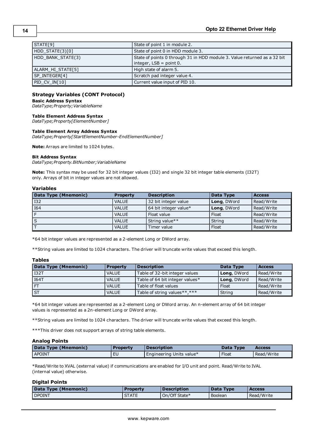| STATE[9]          | State of point 1 in module 2.                                                                          |
|-------------------|--------------------------------------------------------------------------------------------------------|
| HDD_STATE(3)[0]   | State of point 0 in HDD module 3.                                                                      |
| HDD BANK STATE(3) | State of points 0 through 31 in HDD module 3. Value returned as a 32 bit<br>$interder, LSB = point 0.$ |
| ALARM HI STATE[5] | High state of alarm 5.                                                                                 |
| SP INTEGER[4]     | Scratch pad integer value 4.                                                                           |
| PID CV IN[10]     | Current value input of PID 10.                                                                         |

#### **Strategy Variables (CONT Protocol)**

**Basic Address Syntax**

*DataType;Property;VariableName*

#### **Table Element Address Syntax**

*DataType;Property[ElementNumber]*

#### **Table Element Array Address Syntax**

*DataType;Property[StartElementNumber-EndElementNumber]*

**Note:** Arrays are limited to 1024 bytes.

#### **Bit Address Syntax**

*DataType;Property.BitNumber;VariableName*

**Note:** This syntax may be used for 32 bit integer values (I32) and single 32 bit integer table elements (I32T) only. Arrays of bit in integer values are not allowed.

#### **Variables**

| Data Type (Mnemonic) | <b>Property</b> | <b>Description</b>    | Data Type          | <b>Access</b> |
|----------------------|-----------------|-----------------------|--------------------|---------------|
| <b>I32</b>           | <b>VALUE</b>    | 32 bit integer value  | <b>Long, DWord</b> | Read/Write    |
| <b>I64</b>           | <b>VALUE</b>    | 64 bit integer value* | Long, DWord        | Read/Write    |
|                      | <b>VALUE</b>    | Float value           | Float              | Read/Write    |
|                      | <b>VALUE</b>    | String value**        | String             | Read/Write    |
|                      | <b>VALUE</b>    | Timer value           | Float              | Read/Write    |

\*64 bit integer values are represented as a 2-element Long or DWord array.

\*\*String values are limited to 1024 characters. The driver will truncate write values that exceed this length.

#### **Tables**

| Data Type (Mnemonic) | <b>Property</b> | <b>Description</b>              | Data Type   | <b>Access</b> |
|----------------------|-----------------|---------------------------------|-------------|---------------|
| <b>I32T</b>          | <b>VALUE</b>    | Table of 32-bit integer values  | Long, DWord | Read/Write    |
| I64T                 | <b>VALUE</b>    | Table of 64 bit integer values* | Long, DWord | Read/Write    |
|                      | <b>VALUE</b>    | Table of float values           | Float       | Read/Write    |
| I ST                 | <b>VALUE</b>    | Table of string values**,***    | String      | Read/Write    |

\*64 bit integer values are represented as a 2-element Long or DWord array. An n-element array of 64 bit integer values is represented as a 2n-element Long or DWord array.

\*\*String values are limited to 1024 characters. The driver will truncate write values that exceed this length.

\*\*\*This driver does not support arrays of string table elements.

#### **Analog Points**

| Data Type (Mnemonic) | <b>Property</b> | <b>Description</b>       | Data Type | <b>Access</b> |
|----------------------|-----------------|--------------------------|-----------|---------------|
| <b>APOINT</b>        |                 | Engineering Units value* | Float     | Read/Write    |

\*Read/Write to XVAL (external value) if communications are enabled for I/O unit and point. Read/Write to IVAL (internal value) otherwise.

#### **Digital Points**

| Data Type (Mnemonic) | Property     | <b>Description</b> | Data Type      | <b>Access</b> |
|----------------------|--------------|--------------------|----------------|---------------|
| <b>DPOINT</b>        | <b>STATE</b> | On/Off State*      | <b>Boolean</b> | Read/Write    |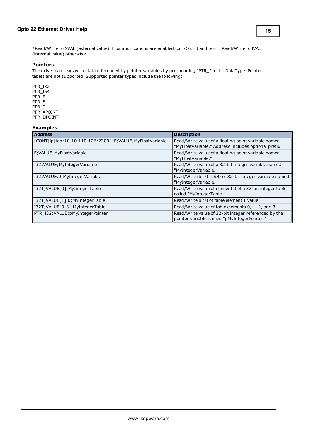\*Read/Write to XVAL (external value) if communications are enabled for I/O unit and point. Read/Write to IVAL (internal value) otherwise.

#### **Pointers**

The driver can read/write data referenced by pointer variables by pre-pending "PTR\_" to the DataType. Pointer tables are not supported. Supported pointer types include the following:

PTR\_I32 PTR\_I64 PTR\_F PTR\_S PTR\_T PTR\_APOINT PTR\_DPOINT

#### **Examples**

| <b>Address</b>                                           | <b>Description</b>                                                                                          |
|----------------------------------------------------------|-------------------------------------------------------------------------------------------------------------|
| [CONT ip tcp:10.10.110.126:22001]F;VALUE;MyFloatVariable | Read/Write value of a floating point variable named<br>"MyFloatVariable." Address includes optional prefix. |
| F; VALUE; MyFloat Variable                               | Read/Write value of a floating point variable named<br>"MyFloatVariable."                                   |
| I32; VALUE; MyInteger Variable                           | Read/Write value of a 32-bit integer variable named<br>"MyIntegerVariable."                                 |
| I32; VALUE.0; MyInteger Variable                         | Read/Write bit 0 (LSB) of 32-bit integer variable named<br>"MyIntegerVariable."                             |
| I32T; VALUE[0]; MyIntegerTable                           | Read/Write value of element 0 of a 32-bit integer table<br>called "MyIntegerTable."                         |
| I32T; VALUE[1].0; MyIntegerTable                         | Read/Write bit 0 of table element 1 value.                                                                  |
| I32T; VALUE[0-3]; MyIntegerTable                         | Read/Write value of table elements 0, 1, 2, and 3.                                                          |
| PTR I32; VALUE; pMyIntegerPointer                        | Read/Write value of 32-bit integer referenced by the<br>pointer variable named "pMyIntegerPointer."         |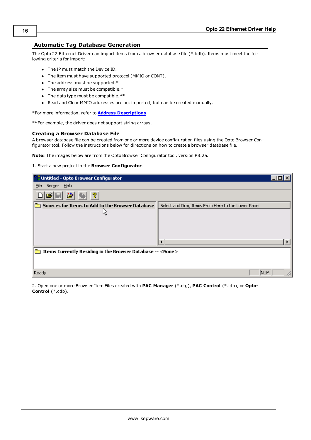# <span id="page-15-0"></span>**Automatic Tag Database Generation**

The Opto 22 Ethernet Driver can import items from a browser database file (\*.bdb). Items must meet the following criteria for import:

- The IP must match the Device ID.
- The item must have supported protocol (MMIO or CONT).
- $\bullet$  The address must be supported.\*
- $\bullet$  The array size must be compatible.\*
- $\bullet$  The data type must be compatible. \*\*
- Read and Clear MMIO addresses are not imported, but can be created manually.

\*For more information, refer to **[Address](#page-9-0) [Descriptions](#page-9-0)**.

\*\*For example, the driver does not support string arrays.

#### **Creating a Browser Database File**

A browser database file can be created from one or more device configuration files using the Opto Browser Configurator tool. Follow the instructions below for directions on how to create a browser database file.

**Note:** The images below are from the Opto Browser Configurator tool, version R8.2a.

1. Start a new project in the **Browser Configurator**.

| <b>Contitled - Opto Browser Configurator</b>                      |                                                   |  |
|-------------------------------------------------------------------|---------------------------------------------------|--|
| Help<br>Server<br>File                                            |                                                   |  |
| ?                                                                 |                                                   |  |
| Sources for Items to Add to the Browser Database                  | Select and Drag Items From Here to the Lower Pane |  |
| ΜĻ                                                                |                                                   |  |
|                                                                   |                                                   |  |
|                                                                   |                                                   |  |
|                                                                   |                                                   |  |
|                                                                   |                                                   |  |
| Items Currently Residing in the Browser Database -- <none></none> |                                                   |  |
|                                                                   |                                                   |  |
| Ready                                                             | <b>NUM</b>                                        |  |

2. Open one or more Browser Item Files created with **PAC Manager** (\*.otg), **PAC Control** (\*.idb), or **Opto-Control** (\*.cdb).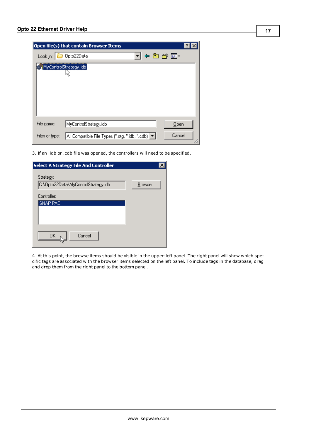|                | Open file(s) that contain Browser Items                       |  |
|----------------|---------------------------------------------------------------|--|
| Look in:       | 4日が囲*<br>Opto22Data                                           |  |
|                | MyControlStrategy.idb                                         |  |
|                |                                                               |  |
|                |                                                               |  |
|                |                                                               |  |
|                |                                                               |  |
| File name:     | MyControlStrategy.idb<br>Open                                 |  |
| Files of type: | Cancel<br>All Compatible File Types (".otg, ".idb, ".cdb)   v |  |

3. If an .idb or .cdb file was opened, the controllers will need to be specified.

| Select A Strategy File And Controller |        |
|---------------------------------------|--------|
| Strategy:                             |        |
| C:\Opto22Data\MyControlStrategy.idb   | Browse |
| Controller:                           |        |
| SNAP PAC                              |        |
|                                       |        |
|                                       |        |
| Cancel<br>OΚ                          |        |
|                                       |        |

4. At this point, the browse items should be visible in the upper-left panel. The right panel will show which specific tags are associated with the browser items selected on the left panel. To include tags in the database, drag and drop them from the right panel to the bottom panel.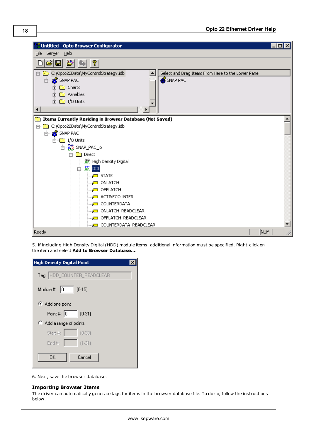

5. If including High Density Digital (HDD) module items, additional information must be specified. Right-click on the item and select **Add to Browser Database…**.

| <b>High Density Digital Point</b> |
|-----------------------------------|
| Tag: HDD_COUNTER_READCLEAR        |
| Module #: $ 0 $<br>(0.15)         |
| Add one point                     |
| Point #: $\boxed{0}$<br>$(0-31)$  |
| Add a range of points             |
| Start #:<br>$(0-30)$              |
| End #:<br>$(1 - 31)$              |
| Cancel<br>OΚ                      |

6. Next, save the browser database.

#### **Importing Browser Items**

The driver can automatically generate tags for items in the browser database file. To do so, follow the instructions below.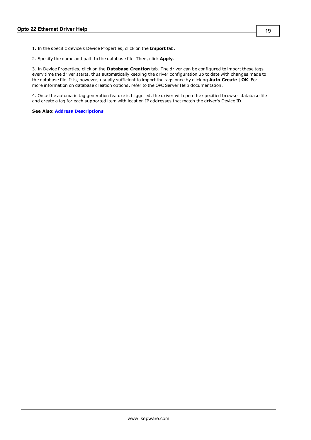1. In the specific device's Device Properties, click on the **Import** tab.

2. Specify the name and path to the database file. Then, click **Apply**.

3. In Device Properties, click on the **Database Creation** tab. The driver can be configured to import these tags every time the driver starts, thus automatically keeping the driver configuration up to date with changes made to the database file. It is, however, usually sufficient to import the tags once by clicking **Auto Create** | **OK**. For more information on database creation options, refer to the OPC Server Help documentation.

4. Once the automatic tag generation feature is triggered, the driver will open the specified browser database file and create a tag for each supported item with location IP addresses that match the driver's Device ID.

**See Also: [Address](#page-9-0) [Descriptions](#page-9-0)**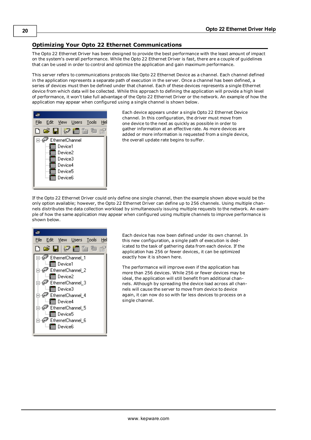# <span id="page-19-0"></span>**Optimizing Your Opto 22 Ethernet Communications**

The Opto 22 Ethernet Driver has been designed to provide the best performance with the least amount of impact on the system's overall performance. While the Opto 22 Ethernet Driver is fast, there are a couple of guidelines that can be used in order to control and optimize the application and gain maximum performance.

This server refers to communications protocols like Opto 22 Ethernet Device as a channel. Each channel defined in the application represents a separate path of execution in the server. Once a channel has been defined, a series of devices must then be defined under that channel. Each of these devices represents a single Ethernet device from which data will be collected. While this approach to defining the application will provide a high level of performance, it won't take full advantage of the Opto 22 Ethernet Driver or the network. An example of how the application may appear when configured using a single channel is shown below.



Each device appears under a single Opto 22 Ethernet Device channel. In this configuration, the driver must move from one device to the next as quickly as possible in order to gather information at an effective rate. As more devices are added or more information is requested from a single device, the overall update rate begins to suffer.

If the Opto 22 Ethernet Driver could only define one single channel, then the example shown above would be the only option available; however, the Opto 22 Ethernet Driver can define up to 256 channels. Using multiple channels distributes the data collection workload by simultaneously issuing multiple requests to the network. An example of how the same application may appear when configured using multiple channels to improve performance is shown below.



Each device has now been defined under its own channel. In this new configuration, a single path of execution is dedicated to the task of gathering data from each device. If the application has 256 or fewer devices, it can be optimized exactly how it is shown here.

The performance will improve even if the application has more than 256 devices. While 256 or fewer devices may be ideal, the application will still benefit from additional channels. Although by spreading the device load across all channels will cause the server to move from device to device again, it can now do so with far less devices to process on a single channel.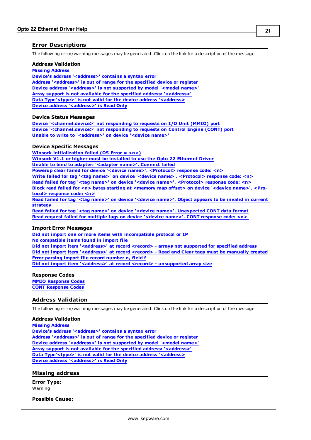# <span id="page-20-0"></span>**Error Descriptions**

The following error/warning messages may be generated. Click on the link for a description of the message.

#### **Address Validation**

**[Missing](#page-20-2) [Address](#page-20-2)**

**[Device's](#page-21-0) [address](#page-21-0) ['<address>'](#page-21-0) [contains](#page-21-0) [a](#page-21-0) [syntax](#page-21-0) [error](#page-21-0) [Address](#page-21-1) ['<address>'](#page-21-1) [is](#page-21-1) [out](#page-21-1) [of](#page-21-1) [range](#page-21-1) [for](#page-21-1) [the](#page-21-1) [specified](#page-21-1) [device](#page-21-1) [or](#page-21-1) [register](#page-21-1) [Device](#page-21-2) [address](#page-21-2) ['<address>'](#page-21-2) [is](#page-21-2) [not](#page-21-2) [supported](#page-21-2) [by](#page-21-2) [model](#page-21-2) ['<model](#page-21-2) [name>'](#page-21-2) [Array](#page-21-3) [support](#page-21-3) [is](#page-21-3) [not](#page-21-3) [available](#page-21-3) [for](#page-21-3) [the](#page-21-3) [specified](#page-21-3) [address:](#page-21-3) ['<address>'](#page-21-3) [Data](#page-21-4) [Type'<type>'](#page-21-4) [is](#page-21-4) [not](#page-21-4) [valid](#page-21-4) [for](#page-21-4) [the](#page-21-4) [device](#page-21-4) [address](#page-21-4) ['<address>](#page-21-4) [Device](#page-22-0) [address](#page-22-0) ['<address>'](#page-22-0) [is](#page-22-0) [Read](#page-22-0) [Only](#page-22-0)** 

#### **Device Status Messages**

**[Device](#page-22-2) ['<channel.device>'](#page-22-2) [not](#page-22-2) [responding](#page-22-2) [to](#page-22-2) [requests](#page-22-2) [on](#page-22-2) [I/O](#page-22-2) [Unit](#page-22-2) [\(MMIO\)](#page-22-2) [port](#page-22-2) [Device](#page-22-3) ['<channel.device>'](#page-22-3) [not](#page-22-3) [responding](#page-22-3) [to](#page-22-3) [requests](#page-22-3) [on](#page-22-3) [Control](#page-22-3) [Engine](#page-22-3) [\(CONT\)](#page-22-3) [port](#page-22-3) [Unable](#page-22-4) [to](#page-22-4) [write](#page-22-4) [to](#page-22-4) ['<address>'](#page-22-4) [on](#page-22-4) [device](#page-22-4) ['<device](#page-22-4) [name>'](#page-22-4)**

#### **Device Specific Messages**

**[Winsock](#page-23-1) [initialization](#page-23-1) [failed](#page-23-1) [\(OS](#page-23-1) [Error](#page-23-1) [=](#page-23-1) [<n>\)](#page-23-1) [Winsock](#page-23-2) [V1.1](#page-23-2) [or](#page-23-2) [higher](#page-23-2) [must](#page-23-2) [be](#page-23-2) [installed](#page-23-2) [to](#page-23-2) [use](#page-23-2) [the](#page-23-2) [Opto](#page-23-2) [22](#page-23-2) [Ethernet](#page-23-2) [Driver](#page-23-2) [Unable](#page-23-3) [to](#page-23-3) [bind](#page-23-3) [to](#page-23-3) [adapter:](#page-23-3) ['<adapter](#page-23-3) [name>'.](#page-23-3) [Connect](#page-23-3) [failed](#page-23-3) [Powerup](#page-24-0) [clear](#page-24-0) [failed](#page-24-0) [for](#page-24-0) [device](#page-24-0) ['<device](#page-24-0) [name>'.](#page-24-0) [<Protocol>](#page-24-0) [response](#page-24-0) [code:](#page-24-0) [<n>](#page-24-0) [Write](#page-24-1) [failed](#page-24-1) [for](#page-24-1) [tag](#page-24-1) ['<tag](#page-24-1) [name>'](#page-24-1) [on](#page-24-1) [device](#page-24-1) ['<device](#page-24-1) [name>'.](#page-24-1) [<Protocol>](#page-24-1) [response](#page-24-1) [code:](#page-24-1) [<n>](#page-24-1) [Read](#page-24-2) [failed](#page-24-2) [for](#page-24-2) [tag](#page-24-2) ['<tag](#page-24-2) [name>'](#page-24-2) [on](#page-24-2) [device](#page-24-2) ['<device](#page-24-2) [name>'.](#page-24-2) [<Protocol>](#page-24-2) [response](#page-24-2) [code:](#page-24-2) [<n>](#page-24-2) [Block](#page-24-3) [read](#page-24-3) [failed](#page-24-3) [for](#page-24-3) [<n>](#page-24-3) [bytes](#page-24-3) [starting](#page-24-3) [at](#page-24-3) [<memory](#page-24-3) [map](#page-24-3) [offset>](#page-24-3) [on](#page-24-3) [device](#page-24-3) ['<device](#page-24-3) [name>'.](#page-24-3) [<Pro](#page-24-3)[tocol>](#page-24-3) [response](#page-24-3) [code:](#page-24-3) [<n>](#page-24-3) [Read](#page-25-0) [failed](#page-25-0) [for](#page-25-0) [tag](#page-25-0) ['<tag](#page-25-0) [name>'](#page-25-0) [on](#page-25-0) [device](#page-25-0) ['<device](#page-25-0) [name>'.](#page-25-0) [Object](#page-25-0) [appears](#page-25-0) [to](#page-25-0) [be](#page-25-0) [invalid](#page-25-0) [in](#page-25-0) [current](#page-25-0) [strategy](#page-25-0) [Read](#page-25-1) [failed](#page-25-1) [for](#page-25-1) [tag](#page-25-1) ['<tag](#page-25-1) [name>'](#page-25-1) [on](#page-25-1) [device](#page-25-1) ['<device](#page-25-1) [name>'.](#page-25-1) [Unexpected](#page-25-1) [CONT](#page-25-1) [data](#page-25-1) [format](#page-25-1) [Read](#page-25-2) [request](#page-25-2) [failed](#page-25-2) [for](#page-25-2) [multiple](#page-25-2) [tags](#page-25-2) [on](#page-25-2) [device](#page-25-2) ['<device](#page-25-2) [name>'.](#page-25-2) [CONT](#page-25-2) [response](#page-25-2) [code:](#page-25-2) [<n>](#page-25-2)**

#### **Import Error Messages**

**[Did](#page-25-4) [not](#page-25-4) [import](#page-25-4) [one](#page-25-4) [or](#page-25-4) [more](#page-25-4) [items](#page-25-4) [with](#page-25-4) [incompatible](#page-25-4) [protocol](#page-25-4) [or](#page-25-4) [IP](#page-25-4) [No](#page-26-0) [compatible](#page-26-0) [items](#page-26-0) [found](#page-26-0) [in](#page-26-0) [import](#page-26-0) [file](#page-26-0) [Did](#page-26-1) [not](#page-26-1) [import](#page-26-1) [item](#page-26-1) ['<address>'](#page-26-1) [at](#page-26-1) [record](#page-26-1) [<record>](#page-26-1) [-](#page-26-1) [arrays](#page-26-1) [not](#page-26-1) [supported](#page-26-1) [for](#page-26-1) [specified](#page-26-1) [address](#page-26-1) [Did](#page-26-2) [not](#page-26-2) [import](#page-26-2) [item](#page-26-2) ['<address>'](#page-26-2) [at](#page-26-2) [record](#page-26-2) [<record>](#page-26-2) [-](#page-26-2) [Read](#page-26-2) [and](#page-26-2) [Clear](#page-26-2) [tags](#page-26-2) [must](#page-26-2) [be](#page-26-2) [manually](#page-26-2) [created](#page-26-2) [Error](#page-27-0) [parsing](#page-27-0) [import](#page-27-0) [file](#page-27-0) [record](#page-27-0) [number](#page-27-0) [n,](#page-27-0) [field](#page-27-0) [f](#page-27-0) [Did](#page-27-1) [not](#page-27-1) [import](#page-27-1) [item](#page-27-1) ['<address>'](#page-27-1) [at](#page-27-1) [record](#page-27-1) [<record>](#page-27-1) [-](#page-27-1) [unsupported](#page-27-1) [array](#page-27-1) [size](#page-27-1)**

#### **Response Codes**

**[MMIO](#page-27-3) [Response](#page-27-3) [Codes](#page-27-3) [CONT](#page-28-0) [Response](#page-28-0) [Codes](#page-28-0)**

# <span id="page-20-1"></span>**Address Validation**

The following error/warning messages may be generated. Click on the link for a description of the message.

#### **Address Validation**

**[Missing](#page-20-2) [Address](#page-20-2) [Device's](#page-21-0) [address](#page-21-0) ['<address>'](#page-21-0) [contains](#page-21-0) [a](#page-21-0) [syntax](#page-21-0) [error](#page-21-0) [Address](#page-21-1) ['<address>'](#page-21-1) [is](#page-21-1) [out](#page-21-1) [of](#page-21-1) [range](#page-21-1) [for](#page-21-1) [the](#page-21-1) [specified](#page-21-1) [device](#page-21-1) [or](#page-21-1) [register](#page-21-1) [Device](#page-21-2) [address](#page-21-2) ['<address>'](#page-21-2) [is](#page-21-2) [not](#page-21-2) [supported](#page-21-2) [by](#page-21-2) [model](#page-21-2) ['<model](#page-21-2) [name>'](#page-21-2) [Array](#page-21-3) [support](#page-21-3) [is](#page-21-3) [not](#page-21-3) [available](#page-21-3) [for](#page-21-3) [the](#page-21-3) [specified](#page-21-3) [address:](#page-21-3) ['<address>'](#page-21-3) [Data](#page-21-4) [Type'<type>'](#page-21-4) [is](#page-21-4) [not](#page-21-4) [valid](#page-21-4) [for](#page-21-4) [the](#page-21-4) [device](#page-21-4) [address](#page-21-4) ['<address>](#page-21-4) [Device](#page-22-0) [address](#page-22-0) ['<address>'](#page-22-0) [is](#page-22-0) [Read](#page-22-0) [Only](#page-22-0)** 

#### <span id="page-20-2"></span>**Missing address**

**Error Type:** Warning

## **Possible Cause:**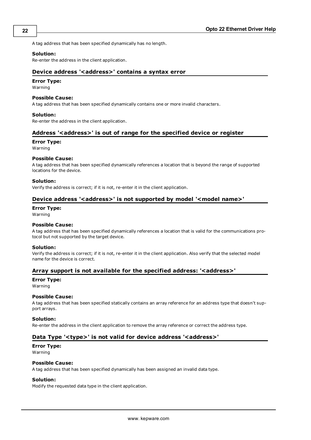A tag address that has been specified dynamically has no length.

#### **Solution:**

<span id="page-21-0"></span>Re-enter the address in the client application.

#### Device address '<address>' contains a syntax error

# **Error Type:**

Warning

#### **Possible Cause:**

A tag address that has been specified dynamically contains one or more invalid characters.

#### **Solution:**

<span id="page-21-1"></span>Re-enter the address in the client application.

# Address '<address>' is out of range for the specified device or register

#### **Error Type:**

Warning

#### **Possible Cause:**

A tag address that has been specified dynamically references a location that is beyond the range of supported locations for the device.

#### **Solution:**

<span id="page-21-2"></span>Verify the address is correct; if it is not, re-enter it in the client application.

## Device address '<address>' is not supported by model '<model name>'

#### **Error Type:**

Warning

## **Possible Cause:**

A tag address that has been specified dynamically references a location that is valid for the communications protocol but not supported by the target device.

#### **Solution:**

Verify the address is correct; if it is not, re-enter it in the client application. Also verify that the selected model name for the device is correct.

#### <span id="page-21-3"></span>**Array support is not available for the specified address: '<address>'**

#### **Error Type:**

Warning

#### **Possible Cause:**

A tag address that has been specified statically contains an array reference for an address type that doesn't support arrays.

#### **Solution:**

<span id="page-21-4"></span>Re-enter the address in the client application to remove the array reference or correct the address type.

#### Data Type '<type>' is not valid for device address '<address>'

# **Error Type:**

Warning

#### **Possible Cause:**

A tag address that has been specified dynamically has been assigned an invalid data type.

#### **Solution:**

Modify the requested data type in the client application.

**22**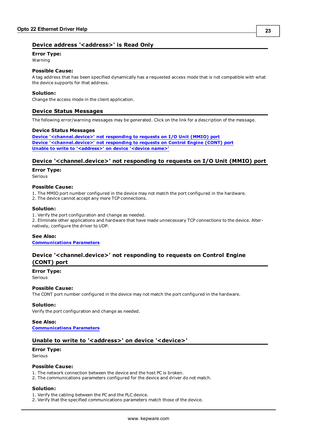# <span id="page-22-0"></span>**Device address '<address>' is Read Only**

# **Error Type:**

Warning

# **Possible Cause:**

A tag address that has been specified dynamically has a requested access mode that is not compatible with what the device supports for that address.

#### **Solution:**

<span id="page-22-1"></span>Change the access mode in the client application.

## **Device Status Messages**

The following error/warning messages may be generated. Click on the link for a description of the message.

#### **Device Status Messages**

**[Device](#page-22-2) ['<channel.device>'](#page-22-2) [not](#page-22-2) [responding](#page-22-2) [to](#page-22-2) [requests](#page-22-2) [on](#page-22-2) [I/O](#page-22-2) [Unit](#page-22-2) [\(MMIO\)](#page-22-2) [port](#page-22-2) [Device](#page-22-3) ['<channel.device>'](#page-22-3) [not](#page-22-3) [responding](#page-22-3) [to](#page-22-3) [requests](#page-22-3) [on](#page-22-3) [Control](#page-22-3) [Engine](#page-22-3) [\(CONT\)](#page-22-3) [port](#page-22-3) [Unable](#page-22-4) [to](#page-22-4) [write](#page-22-4) [to](#page-22-4) ['<address>'](#page-22-4) [on](#page-22-4) [device](#page-22-4) ['<device](#page-22-4) [name>'](#page-22-4)**

#### <span id="page-22-2"></span>**Device '<channel.device>' not responding to requests on I/O Unit (MMIO) port**

#### **Error Type:**

Serious

#### **Possible Cause:**

1. The MMIO port number configured in the device may not match the port configured in the hardware.

2. The device cannot accept any more TCP connections.

#### **Solution:**

1. Verify the port configuration and change as needed.

2. Eliminate other applications and hardware that have made unnecessary TCP connections to the device. Alternatively, configure the driver to UDP.

#### **See Also:**

<span id="page-22-3"></span>**[Communications](#page-4-1) [Parameters](#page-4-1)**

# **Device '<channel.device>' not responding to requests on Control Engine (CONT) port**

#### **Error Type:**

Serious

#### **Possible Cause:**

The CONT port number configured in the device may not match the port configured in the hardware.

#### **Solution:**

Verify the port configuration and change as needed.

## **See Also: [Communications](#page-4-1) [Parameters](#page-4-1)**

# <span id="page-22-4"></span>Unable to write to '<address>' on device '<device>'

# **Error Type:**

Serious

# **Possible Cause:**

- 1. The network connection between the device and the host PC is broken.
- 2. The communications parameters configured for the device and driver do not match.

# **Solution:**

1. Verify the cabling between the PC and the PLC device.

2. Verify that the specified communications parameters match those of the device.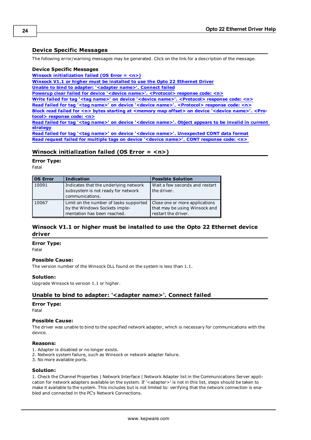# <span id="page-23-0"></span>**Device Specific Messages**

The following error/warning messages may be generated. Click on the link for a description of the message.

#### **Device Specific Messages**

**[Winsock](#page-23-1) [initialization](#page-23-1) [failed](#page-23-1) [\(OS](#page-23-1) [Error](#page-23-1) [=](#page-23-1) [<n>\)](#page-23-1)**

**[Winsock](#page-23-2) [V1.1](#page-23-2) [or](#page-23-2) [higher](#page-23-2) [must](#page-23-2) [be](#page-23-2) [installed](#page-23-2) [to](#page-23-2) [use](#page-23-2) [the](#page-23-2) [Opto](#page-23-2) [22](#page-23-2) [Ethernet](#page-23-2) [Driver](#page-23-2)**

**[Unable](#page-23-3) [to](#page-23-3) [bind](#page-23-3) [to](#page-23-3) [adapter:](#page-23-3) ['<adapter](#page-23-3) [name>'.](#page-23-3) [Connect](#page-23-3) [failed](#page-23-3)**

**[Powerup](#page-24-0) [clear](#page-24-0) [failed](#page-24-0) [for](#page-24-0) [device](#page-24-0) ['<device](#page-24-0) [name>'.](#page-24-0) [<Protocol>](#page-24-0) [response](#page-24-0) [code:](#page-24-0) [<n>](#page-24-0)**

**[Write](#page-24-1) [failed](#page-24-1) [for](#page-24-1) [tag](#page-24-1) ['<tag](#page-24-1) [name>'](#page-24-1) [on](#page-24-1) [device](#page-24-1) ['<device](#page-24-1) [name>'.](#page-24-1) [<Protocol>](#page-24-1) [response](#page-24-1) [code:](#page-24-1) [<n>](#page-24-1)**

**[Read](#page-24-2) [failed](#page-24-2) [for](#page-24-2) [tag](#page-24-2) ['<tag](#page-24-2) [name>'](#page-24-2) [on](#page-24-2) [device](#page-24-2) ['<device](#page-24-2) [name>'.](#page-24-2) [<Protocol>](#page-24-2) [response](#page-24-2) [code:](#page-24-2) [<n>](#page-24-2)**

**[Block](#page-24-3) [read](#page-24-3) [failed](#page-24-3) [for](#page-24-3) [<n>](#page-24-3) [bytes](#page-24-3) [starting](#page-24-3) [at](#page-24-3) [<memory](#page-24-3) [map](#page-24-3) [offset>](#page-24-3) [on](#page-24-3) [device](#page-24-3) ['<device](#page-24-3) [name>'.](#page-24-3) [<Pro](#page-24-3)[tocol>](#page-24-3) [response](#page-24-3) [code:](#page-24-3) [<n>](#page-24-3)**

**[Read](#page-25-0) [failed](#page-25-0) [for](#page-25-0) [tag](#page-25-0) ['<tag](#page-25-0) [name>'](#page-25-0) [on](#page-25-0) [device](#page-25-0) ['<device](#page-25-0) [name>'.](#page-25-0) [Object](#page-25-0) [appears](#page-25-0) [to](#page-25-0) [be](#page-25-0) [invalid](#page-25-0) [in](#page-25-0) [current](#page-25-0) [strategy](#page-25-0)**

**[Read](#page-25-1) [failed](#page-25-1) [for](#page-25-1) [tag](#page-25-1) ['<tag](#page-25-1) [name>'](#page-25-1) [on](#page-25-1) [device](#page-25-1) ['<device](#page-25-1) [name>'.](#page-25-1) [Unexpected](#page-25-1) [CONT](#page-25-1) [data](#page-25-1) [format](#page-25-1) [Read](#page-25-2) [request](#page-25-2) [failed](#page-25-2) [for](#page-25-2) [multiple](#page-25-2) [tags](#page-25-2) [on](#page-25-2) [device](#page-25-2) ['<device](#page-25-2) [name>'.](#page-25-2) [CONT](#page-25-2) [response](#page-25-2) [code:](#page-25-2) [<n>](#page-25-2)**

## <span id="page-23-1"></span>**Winsock initialization failed (OS Error = <n>)**

#### **Error Type:**

Fatal

| <b>OS Error</b> | <b>Indication</b>                                                                                      | <b>Possible Solution</b>                                                               |
|-----------------|--------------------------------------------------------------------------------------------------------|----------------------------------------------------------------------------------------|
| 10091           | Indicates that the underlying network<br>subsystem is not ready for network<br>communications.         | Wait a few seconds and restart<br>the driver.                                          |
| 10067           | Limit on the number of tasks supported<br>by the Windows Sockets imple-<br>mentation has been reached. | Close one or more applications<br>that may be using Winsock and<br>restart the driver. |

# <span id="page-23-2"></span>**Winsock V1.1 or higher must be installed to use the Opto 22 Ethernet device driver**

#### **Error Type:**

Fatal

#### **Possible Cause:**

The version number of the Winsock DLL found on the system is less than 1.1.

#### **Solution:**

<span id="page-23-3"></span>Upgrade Winsock to version 1.1 or higher.

# Unable to bind to adapter: '<adapter name>'. Connect failed

#### **Error Type:**

Fatal

#### **Possible Cause:**

The driver was unable to bind to the specified network adapter, which is necessary for communications with the device.

#### **Reasons:**

- 1. Adapter is disabled or no longer exists.
- 2. Network system failure, such as Winsock or network adapter failure.
- 3. No more available ports.

#### **Solution:**

1. Check the Channel Properties | Network Interface | Network Adapter list in the Communications Server application for network adapters available on the system. If '<adapter>' is not in this list, steps should be taken to make it available to the system. This includes but is not limited to: verifying that the network connection is enabled and connected in the PC's Network Connections.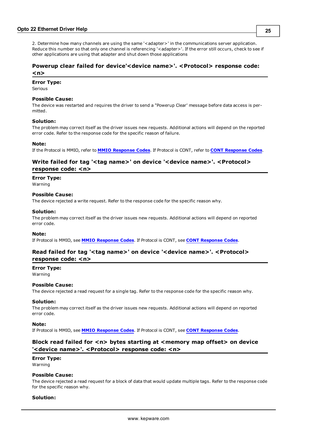2. Determine how many channels are using the same '<adapter>' in the communications server application. Reduce this number so that only one channel is referencing '<adapter>'. If the error still occurs, check to see if other applications are using that adapter and shut down those applications

# <span id="page-24-0"></span>**Powerup clear failed for device'<device name>'. <Protocol> response code: <n>**

# **Error Type:**

# Serious

# **Possible Cause:**

The device was restarted and requires the driver to send a "Powerup Clear' message before data access is permitted.

#### **Solution:**

The problem may correct itself as the driver issues new requests. Additional actions will depend on the reported error code. Refer to the response code for the specific reason of failure.

#### **Note:**

<span id="page-24-1"></span>If the Protocol is MMIO, refer to **[MMIO](#page-27-3) [Response](#page-27-3) [Codes](#page-27-3)**. If Protocol is CONT, refer to **[CONT](#page-28-0) [Response](#page-28-0) [Codes](#page-28-0)**.

## **Write failed for tag '<tag name>' on device '<device name>'. <Protocol> response code: <n>**

#### **Error Type:**

Warning

#### **Possible Cause:**

The device rejected a write request. Refer to the response code for the specific reason why.

#### **Solution:**

The problem may correct itself as the driver issues new requests. Additional actions will depend on reported error code.

#### **Note:**

<span id="page-24-2"></span>If Protocol is MMIO, see **[MMIO](#page-27-3) [Response](#page-27-3) [Codes](#page-27-3)**. If Protocol is CONT, see **[CONT](#page-28-0) [Response](#page-28-0) [Codes](#page-28-0)**.

## **Read failed for tag '<tag name>' on device '<device name>'. <Protocol> response code: <n>**

#### **Error Type:**

Warning

#### **Possible Cause:**

The device rejected a read request for a single tag. Refer to the response code for the specific reason why.

#### **Solution:**

The problem may correct itself as the driver issues new requests. Additional actions will depend on reported error code.

#### **Note:**

<span id="page-24-3"></span>If Protocol is MMIO, see **[MMIO](#page-27-3) [Response](#page-27-3) [Codes](#page-27-3)**. If Protocol is CONT, see **[CONT](#page-28-0) [Response](#page-28-0) [Codes](#page-28-0)**.

## **Block read failed for <n> bytes starting at <memory map offset> on device '<device name>'. <Protocol> response code: <n>**

# **Error Type:**

Warning

#### **Possible Cause:**

The device rejected a read request for a block of data that would update multiple tags. Refer to the response code for the specific reason why.

## **Solution:**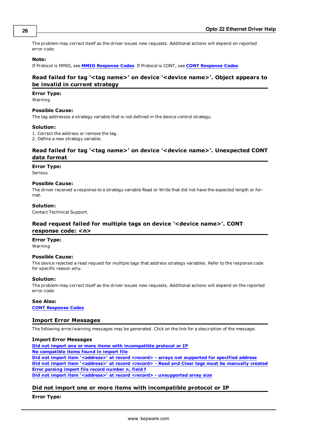The problem may correct itself as the driver issues new requests. Additional actions will depend on reported error code.

#### **Note:**

<span id="page-25-0"></span>If Protocol is MMIO, see **[MMIO](#page-27-3) [Response](#page-27-3) [Codes](#page-27-3)**. If Protocol is CONT, see **[CONT](#page-28-0) [Response](#page-28-0) [Codes](#page-28-0)**.

# **Read failed for tag '<tag name>' on device '<device name>'. Object appears to be invalid in current strategy**

#### **Error Type:**

Warning

## **Possible Cause:**

The tag addresses a strategy variable that is not defined in the device control strategy.

#### **Solution:**

1. Correct the address or remove the tag.

<span id="page-25-1"></span>2. Define a new strategy variable.

# **Read failed for tag '<tag name>' on device '<device name>'. Unexpected CONT data format**

#### **Error Type:**

Serious

#### **Possible Cause:**

The driver received a response to a strategy variable Read or Write that did not have the expected length or format.

#### **Solution:**

<span id="page-25-2"></span>Contact Technical Support.

# **Read request failed for multiple tags on device '<device name>'. CONT response code: <n>**

#### **Error Type:**

Warning

#### **Possible Cause:**

The device rejected a read request for multiple tags that address strategy variables. Refer to the response code for specific reason why.

#### **Solution:**

The problem may correct itself as the driver issues new requests. Additional actions will depend on the reported error code.

### **See Also:**

<span id="page-25-3"></span>**[CONT](#page-28-0) [Response](#page-28-0) [Codes](#page-28-0)**

#### **Import Error Messages**

The following error/warning messages may be generated. Click on the link for a description of the message.

#### **Import Error Messages**

**[Did](#page-25-4) [not](#page-25-4) [import](#page-25-4) [one](#page-25-4) [or](#page-25-4) [more](#page-25-4) [items](#page-25-4) [with](#page-25-4) [incompatible](#page-25-4) [protocol](#page-25-4) [or](#page-25-4) [IP](#page-25-4) [No](#page-26-0) [compatible](#page-26-0) [items](#page-26-0) [found](#page-26-0) [in](#page-26-0) [import](#page-26-0) [file](#page-26-0) [Did](#page-26-1) [not](#page-26-1) [import](#page-26-1) [item](#page-26-1) ['<address>'](#page-26-1) [at](#page-26-1) [record](#page-26-1) [<record>](#page-26-1) [-](#page-26-1) [arrays](#page-26-1) [not](#page-26-1) [supported](#page-26-1) [for](#page-26-1) [specified](#page-26-1) [address](#page-26-1) [Did](#page-26-2) [not](#page-26-2) [import](#page-26-2) [item](#page-26-2) ['<address>'](#page-26-2) [at](#page-26-2) [record](#page-26-2) [<record>](#page-26-2) [-](#page-26-2) [Read](#page-26-2) [and](#page-26-2) [Clear](#page-26-2) [tags](#page-26-2) [must](#page-26-2) [be](#page-26-2) [manually](#page-26-2) [created](#page-26-2) [Error](#page-27-0) [parsing](#page-27-0) [import](#page-27-0) [file](#page-27-0) [record](#page-27-0) [number](#page-27-0) [n,](#page-27-0) [field](#page-27-0) [f](#page-27-0) [Did](#page-27-1) [not](#page-27-1) [import](#page-27-1) [item](#page-27-1) ['<address>'](#page-27-1) [at](#page-27-1) [record](#page-27-1) [<record>](#page-27-1) [-](#page-27-1) [unsupported](#page-27-1) [array](#page-27-1) [size](#page-27-1)**

#### <span id="page-25-4"></span>**Did not import one or more items with incompatible protocol or IP**

#### **Error Type:**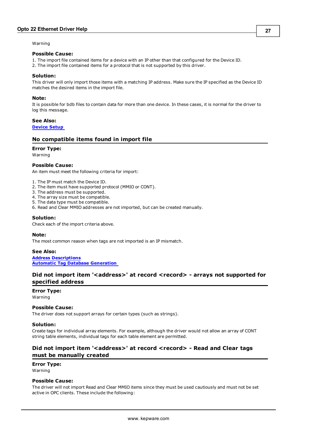Warning

#### **Possible Cause:**

- 1. The import file contained items for a device with an IP other than that configured for the Device ID.
- 2. The import file contained items for a protocol that is not supported by this driver.

#### **Solution:**

This driver will only import those items with a matching IP address. Make sure the IP specified as the Device ID matches the desired items in the import file.

#### **Note:**

It is possible for bdb files to contain data for more than one device. In these cases, it is normal for the driver to log this message.

### **See Also:**

<span id="page-26-0"></span>**[Device](#page-4-0) [Setup](#page-4-0)**

#### **No compatible items found in import file**

#### **Error Type:**

Warning

#### **Possible Cause:**

An item must meet the following criteria for import:

- 1. The IP must match the Device ID.
- 2. The item must have supported protocol (MMIO or CONT).
- 3. The address must be supported.
- 4. The array size must be compatible.
- 5. The data type must be compatible.
- 6. Read and Clear MMIO addresses are not imported, but can be created manually.

#### **Solution:**

Check each of the import criteria above.

#### **Note:**

The most common reason when tags are not imported is an IP mismatch.

**See Also:**

**[Address](#page-9-0) [Descriptions](#page-9-0) [Automatic](#page-15-0) [Tag](#page-15-0) [Database](#page-15-0) [Generation](#page-15-0)**

# <span id="page-26-1"></span>Did not import item '<address>' at record <record> - arrays not supported for **specified address**

# **Error Type:**

Warning

#### **Possible Cause:**

The driver does not support arrays for certain types (such as strings).

#### **Solution:**

Create tags for individual array elements. For example, although the driver would not allow an array of CONT string table elements, individual tags for each table element are permitted.

# <span id="page-26-2"></span>Did not import item '<address>' at record <record> - Read and Clear tags **must be manually created**

# **Error Type:**

Warning

#### **Possible Cause:**

The driver will not import Read and Clear MMIO items since they must be used cautiously and must not be set active in OPC clients. These include the following: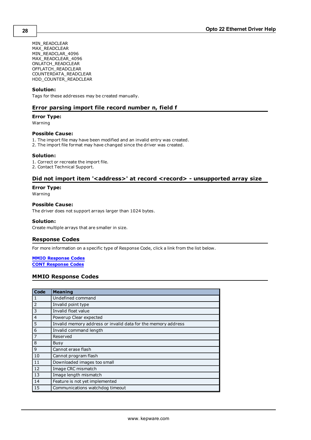MIN\_READCLEAR MAX\_READCLEAR MIN\_READCLAR\_4096 MAX\_READCLEAR\_4096 ONLATCH\_READCLEAR OFFLATCH\_READCLEAR COUNTERDATA\_READCLEAR HDD\_COUNTER\_READCLEAR

# **Solution:**

<span id="page-27-0"></span>Tags for these addresses may be created manually.

#### **Error parsing import file record number n, field f**

#### **Error Type:**

Warning

#### **Possible Cause:**

- 1. The import file may have been modified and an invalid entry was created.
- 2. The import file format may have changed since the driver was created.

#### **Solution:**

1. Correct or recreate the import file.

<span id="page-27-1"></span>2. Contact Technical Support.

## Did not import item '<address>' at record <record> - unsupported array size

#### **Error Type:**

Warning

#### **Possible Cause:**

The driver does not support arrays larger than 1024 bytes.

#### **Solution:**

<span id="page-27-2"></span>Create multiple arrays that are smaller in size.

## **Response Codes**

For more information on a specific type of Response Code, click a link from the list below.

#### **[MMIO](#page-27-3) [Response](#page-27-3) [Codes](#page-27-3) [CONT](#page-28-0) [Response](#page-28-0) [Codes](#page-28-0)**

# <span id="page-27-3"></span>**MMIO Response Codes**

| Code           | <b>Meaning</b>                                                |
|----------------|---------------------------------------------------------------|
| 1              | Undefined command                                             |
| 2              | Invalid point type                                            |
| 3              | Invalid float value                                           |
| $\overline{4}$ | Powerup Clear expected                                        |
| 5              | Invalid memory address or invalid data for the memory address |
| 6              | Invalid command length                                        |
| $\overline{7}$ | Reserved                                                      |
| 8              | Busy                                                          |
| 9              | Cannot erase flash                                            |
| 10             | Cannot program flash                                          |
| 11             | Downloaded images too small                                   |
| 12             | Image CRC mismatch                                            |
| 13             | Image length mismatch                                         |
| 14             | Feature is not yet implemented                                |
| 15             | Communications watchdog timeout                               |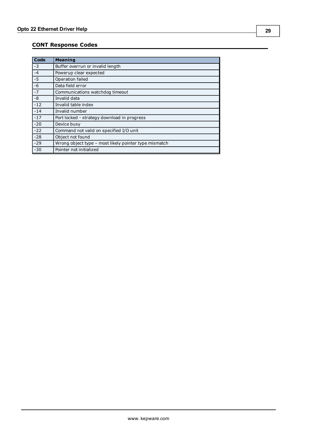# <span id="page-28-0"></span>**CONT Response Codes**

| Code  | <b>Meaning</b>                                        |
|-------|-------------------------------------------------------|
| $-3$  | Buffer overrun or invalid length                      |
| $-4$  | Powerup clear expected                                |
| $-5$  | Operation failed                                      |
| $-6$  | Data field error                                      |
| $-7$  | Communications watchdog timeout                       |
| $-8$  | Invalid data                                          |
| $-12$ | Invalid table index                                   |
| $-14$ | Invalid number                                        |
| $-17$ | Port locked - strategy download in progress           |
| $-20$ | Device busy                                           |
| $-22$ | Command not valid on specified I/O unit               |
| $-28$ | Object not found                                      |
| $-29$ | Wrong object type - most likely pointer type mismatch |
| $-30$ | Pointer not initialized                               |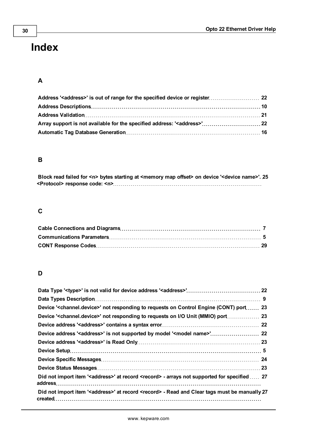# <span id="page-29-0"></span>**Index**

# **A**

# **B**

| Block read failed for <n> bytes starting at <memory map="" offset=""> on device '<device name="">'. 25</device></memory></n> |  |
|------------------------------------------------------------------------------------------------------------------------------|--|
| <protocol> response code: <n>.………………………………………………………………</n></protocol>                                                        |  |

# **C**

# **D**

| Device ' <channel.device>' not responding to requests on Control Engine (CONT) port  23</channel.device>         |  |
|------------------------------------------------------------------------------------------------------------------|--|
| Device ' <channel.device>' not responding to requests on I/O Unit (MMIO) port 23</channel.device>                |  |
|                                                                                                                  |  |
|                                                                                                                  |  |
|                                                                                                                  |  |
|                                                                                                                  |  |
|                                                                                                                  |  |
|                                                                                                                  |  |
| Did not import item ' <address>' at record <record> - arrays not supported for specified  27</record></address>  |  |
| Did not import item ' <address>' at record <record> - Read and Clear tags must be manually 27</record></address> |  |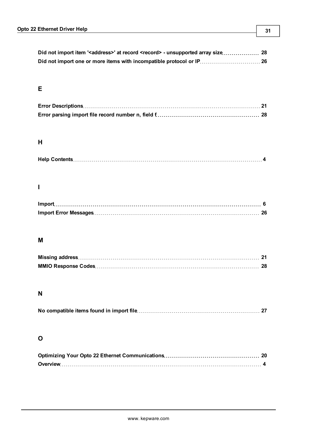# **E**

# **H**

|--|--|--|

# **I**

# **M**

# **N**

|--|

# **O**